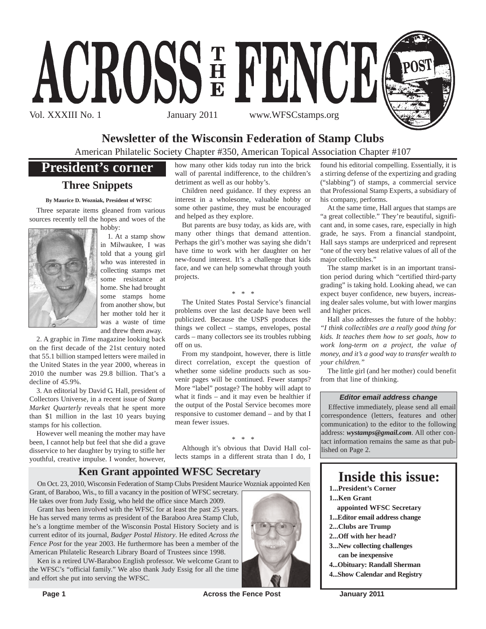

## **Newsletter of the Wisconsin Federation of Stamp Clubs**

American Philatelic Society Chapter #350, American Topical Association Chapter #107

## **President's corner**

## **Three Snippets**

**By Maurice D. Wozniak, President of WFSC**

Three separate items gleaned from various sources recently tell the hopes and woes of the hobby:



1. At a stamp show in Milwaukee, I was told that a young girl who was interested in collecting stamps met some resistance at home. She had brought some stamps home from another show, but her mother told her it was a waste of time and threw them away.

2. A graphic in *Time* magazine looking back on the first decade of the 21st century noted that 55.1 billion stamped letters were mailed in the United States in the year 2000, whereas in 2010 the number was 29.8 billion. That's a decline of 45.9%.

3. An editorial by David G. Hall, president of Collectors Universe, in a recent issue of *Stamp Market Quarterly* reveals that he spent more than \$1 million in the last 10 years buying stamps for his collection.

However well meaning the mother may have been, I cannot help but feel that she did a grave disservice to her daughter by trying to stifle her youthful, creative impulse. I wonder, however, how many other kids today run into the brick wall of parental indifference, to the children's detriment as well as our hobby's.

Children need guidance. If they express an interest in a wholesome, valuable hobby or some other pastime, they must be encouraged and helped as they explore.

But parents are busy today, as kids are, with many other things that demand attention. Perhaps the girl's mother was saying she didn't have time to work with her daughter on her new-found interest. It's a challenge that kids face, and we can help somewhat through youth projects.

#### *\* \* \**

The United States Postal Service's financial problems over the last decade have been well publicized. Because the USPS produces the things we collect – stamps, envelopes, postal cards – many collectors see its troubles rubbing off on us.

From my standpoint, however, there is little direct correlation, except the question of whether some sideline products such as souvenir pages will be continued. Fewer stamps? More "label" postage? The hobby will adapt to what it finds – and it may even be healthier if the output of the Postal Service becomes more responsive to customer demand – and by that I mean fewer issues.

#### *\* \* \**

Although it's obvious that David Hall collects stamps in a different strata than I do, I

### **Ken Grant appointed WFSC Secretary**

On Oct. 23, 2010, Wisconsin Federation of Stamp Clubs President Maurice Wozniak appointed Ken Grant, of Baraboo, Wis., to fill a vacancy in the position of WFSC secretary.

He takes over from Judy Essig, who held the office since March 2009.

Grant has been involved with the WFSC for at least the past 25 years. He has served many terms as president of the Baraboo Area Stamp Club, he's a longtime member of the Wisconsin Postal History Society and is current editor of its journal, *Badger Postal History*. He edited *Across the Fence Post* for the year 2003. He furthermore has been a member of the American Philatelic Research Library Board of Trustees since 1998.

Ken is a retired UW-Baraboo English professor. We welcome Grant to the WFSC's "official family." We also thank Judy Essig for all the time and effort she put into serving the WFSC.



found his editorial compelling. Essentially, it is a stirring defense of the expertizing and grading ("slabbing") of stamps, a commercial service that Professional Stamp Experts, a subsidiary of his company, performs.

At the same time, Hall argues that stamps are "a great collectible." They're beautiful, significant and, in some cases, rare, especially in high grade, he says. From a financial standpoint, Hall says stamps are underpriced and represent "one of the very best relative values of all of the major collectibles."

The stamp market is in an important transition period during which "certified third-party grading" is taking hold. Looking ahead, we can expect buyer confidence, new buyers, increasing dealer sales volume, but with lower margins and higher prices.

Hall also addresses the future of the hobby: *"I think collectibles are a really good thing for kids. It teaches them how to set goals, how to work long-term on a project, the value of money, and it's a good way to transfer wealth to your children."*

The little girl (and her mother) could benefit from that line of thinking.

#### *Editor email address change*

Effective immediately, please send all email correspondence (letters, features and other communication) to the editor to the following address: *wystamps@gmail.com*. All other contact information remains the same as that published on Page 2.

## **Inside this issue:**

- **1...President's Corner**
- **1...Ken Grant**
- **appointed WFSC Secretary**
- **1...Editor email address change**
- **2...Clubs are Trump**
- **2...Off with her head? 3...New collecting challenges**
- **can be inexpensive 4...Obituary: Randall Sherman**
- **4...Show Calendar and Registry**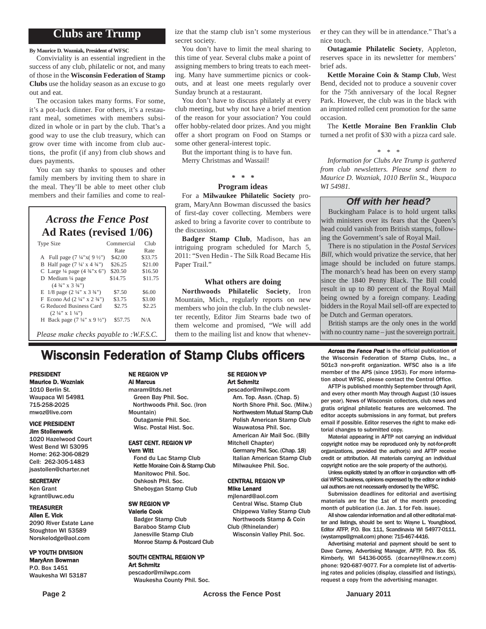### **Clubs are Trump**

**By Maurice D. Wozniak, President of WFSC**

Conviviality is an essential ingredient in the success of any club, philatelic or not, and many of those in the **Wisconsin Federation of Stamp Clubs** use the holiday season as an excuse to go out and eat.

The occasion takes many forms. For some, it's a pot-luck dinner. For others, it's a restaurant meal, sometimes with members subsidized in whole or in part by the club. That's a good way to use the club treasury, which can grow over time with income from club auctions, the profit (if any) from club shows and dues payments.

You can say thanks to spouses and other family members by inviting them to share in the meal. They'll be able to meet other club members and their families and come to real-

## *Across the Fence Post* **Ad Rates (revised 1/06)**

| <b>Type Size</b>                                   | Commercial | Club    |
|----------------------------------------------------|------------|---------|
|                                                    | Rate       | Rate    |
| A Full page $(7\frac{1}{4}x(9\frac{1}{2})$         | \$42.00    | \$33.75 |
| B Half page $(7\frac{1}{4} \times 4\frac{3}{4})$   | \$26.25    | \$21.00 |
| C Large $\frac{1}{4}$ page $(4 \frac{3}{4} x 6)$   | \$20.50    | \$16.50 |
| D Medium 1/4 page                                  | \$14.75    | \$11.75 |
| $(4\frac{3}{4}$ " x 3 $\frac{3}{4}$ ")             |            |         |
| E $1/8$ page $(2\frac{1}{4}$ " x $3\frac{3}{4}$ ") | \$7.50     | \$6.00  |
| F Econo Ad $(2\frac{1}{4}$ " x $2\frac{3}{4}$ ")   | \$3.75     | \$3.00  |
| G Reduced Business Card                            | \$2.75     | \$2.25  |
| $(2 \frac{1}{4}$ " x $1 \frac{1}{4}$ ")            |            |         |
| H Back page $(7\frac{1}{4}$ " x 9 $\frac{1}{2}$ ") | \$57.75    | N/A     |
|                                                    |            |         |
| Please make checks payable to :W.F.S.C.            |            |         |

ize that the stamp club isn't some mysterious secret society.

You don't have to limit the meal sharing to this time of year. Several clubs make a point of assigning members to bring treats to each meeting. Many have summertime picnics or cookouts, and at least one meets regularly over Sunday brunch at a restaurant.

You don't have to discuss philately at every club meeting, but why not have a brief mention of the reason for your association? You could offer hobby-related door prizes. And you might offer a short program on Food on Stamps or some other general-interest topic.

But the important thing is to have fun. Merry Christmas and Wassail!

## *\* \* \**

#### **Program ideas**

For a **Milwaukee Philatelic Society** program, MaryAnn Bowman discussed the basics of first-day cover collecting. Members were asked to bring a favorite cover to contribute to the discussion.

**Badger Stamp Club**, Madison, has an intriguing program scheduled for March 5, 2011: "Sven Hedin - The Silk Road Became His Paper Trail."

#### **What others are doing**

**Northwoods Philatelic Society**, Iron Mountain, Mich., regularly reports on new members who join the club. In the club newsletter recently, Editor Jim Stearns bade two of them welcome and promised, "We will add them to the mailing list and know that whenever they can they will be in attendance." That's a nice touch.

**Outagamie Philatelic Society**, Appleton, reserves space in its newsletter for members' brief ads.

**Kettle Moraine Coin & Stamp Club**, West Bend, decided not to produce a souvenir cover for the 75th anniversary of the local Regner Park. However, the club was in the black with an imprinted rolled cent promotion for the same occasion.

The **Kettle Moraine Ben Franklin Club** turned a net profit of \$30 with a pizza card sale.

*\* \* \**

*Information for Clubs Are Trump is gathered from club newsletters. Please send them to Maurice D. Wozniak, 1010 Berlin St., Waupaca WI 54981.*

### *Off with her head?*

Buckingham Palace is to hold urgent talks with ministers over its fears that the Queen's head could vanish from British stamps, following the Government's sale of Royal Mail.

There is no stipulation in the *Postal Services Bill*, which would privatize the service, that her image should be included on future stamps. The monarch's head has been on every stamp since the 1840 Penny Black. The Bill could result in up to 80 percent of the Royal Mail being owned by a foreign company. Leading bidders in the Royal Mail sell-off are expected to be Dutch and German operators.

British stamps are the only ones in the world with no country name – just the sovereign portrait.

## **Wisconsin Federation of Stamp Clubs officers** *Across the Fence Post* is the official publication of stamp Clubs, Inc., a

#### PRESIDENT Maurice D. Wozniak

1010 Berlin St. Waupaca WI 54981 715-258-2025 mwoz@live.com

#### VICE PRESIDENT Jim Stollenwerk

1020 Hazelwood Court West Bend WI 53095 Home: 262-306-0829 Cell: 262-305-1483

jsastollen@charter.net

#### **SECRETARY**

Ken Grant kgrant@uwc.edu

#### TREASURER

Allen E. Vick 2090 River Estate Lane Stoughton WI 53589 Norskelodge@aol.com

#### VP YOUTH DIVISION MaryAnn Bowman

P.O. Box 1451 Waukesha WI 53187

## NE REGION VP

Al Marcus

maram@tds.net Green Bay Phil. Soc. Northwoods Phil. Soc. (Iron Mountain) Outagamie Phil. Soc. Wisc. Postal Hist. Soc.

#### EAST CENT. REGION VP Vern Witt

Fond du Lac Stamp Club Kettle Moraine Coin & Stamp Club Manitowoc Phil. Soc. Oshkosh Phil. Soc. Sheboygan Stamp Club

## Valerie Cook

#### SE REGION VP Art Schmitz

pescador@milwpc.com Am. Top. Assn. (Chap. 5) North Shore Phil. Soc. (Milw.) Northwestern Mutual Stamp Club Polish American Stamp Club Wauwatosa Phil. Soc. American Air Mail Soc. (Billy

Mitchell Chapter)

Germany Phil. Soc. (Chap. 18) Italian American Stamp Club Milwaukee Phil. Soc.

#### CENTRAL REGION VP Mike Lenard

mjlenard@aol.com Central Wisc. Stamp Club Chippewa Valley Stamp Club Northwoods Stamp & Coin Club (Rhinelander)

Wisconsin Valley Phil. Soc.

the Wisconsin Federation of Stamp Clubs, Inc., a 501c3 non-profit organization. WFSC also is a life member of the APS (since 1953). For more information about WFSC, please contact the Central Office.

AFTP is published monthly September through April, and every other month May through August (10 issues per year). News of Wisconsin collectors, club news and gratis original philatelic features are welcomed. The editor accepts submissions in any format, but prefers email if possible. Editor reserves the right to make editorial changes to submitted copy.

Material appearing in AFTP not carrying an individual copyright notice may be reproduced only by not-for-profit organizations, provided the author(s) and AFTP receive credit or attribution. All materials carrying an individual copyright notice are the sole property of the author(s).

Unless explicitly stated by an officer in conjunction with official WFSC business, opinions expressed by the editor or individual authors are not necessarily endorsed by the WFSC.

Submission deadlines for editorial and avertising materials are for the 1st of the month preceding month of publication (i.e. Jan. 1 for Feb. issue).

All show calendar information and all other editorial matter and listings, should be sent to: Wayne L. Youngblood, Editor ATFP, P.O. Box 111, Scandinavia WI 54977-0111. (wystamps@gmail.com) phone: 715-467-4416.

Advertising material and payment should be sent to Dave Carney, Advertising Manager, AFTP, P.O. Box 55, Kimberly, WI 54136-0055. (dcarneyl@new.rr.com) phone: 920-687-9077. For a complete list of advertising rates and policies (display, classified and listings), request a copy from the advertising manager.

## SW REGION VP

Art Schmitz

Badger Stamp Club Baraboo Stamp Club Janesville Stamp Club Monroe Stamp & Postcard Club

SOUTH CENTRAL REGION VP

pescador@milwpc.com Waukesha County Phil. Soc.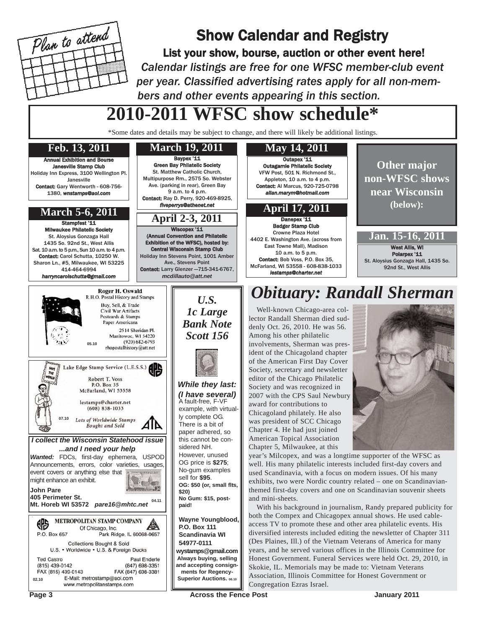

## Show Calendar and Registry

List your show, bourse, auction or other event here! *Calendar listings are free for one WFSC member-club event per year. Classified advertising rates apply for all non-members and other events appearing in this section.*

# **2010-2011 WFSC show schedule\***

\*Some dates and details may be subject to change, and there will likely be additional listings.



Page 3 **Across the Fence Post Across the Fence Post Across 12011**